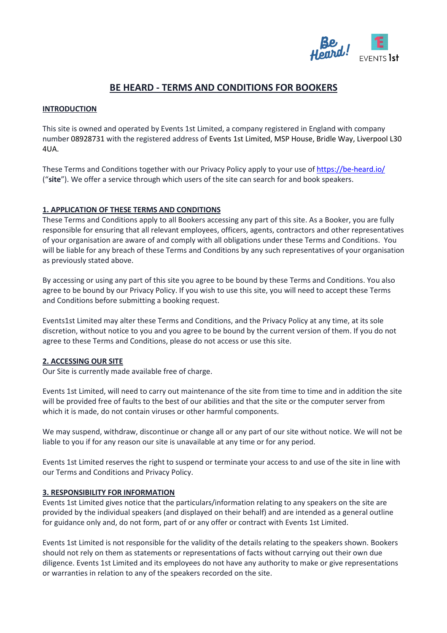

# **BE HEARD - TERMS AND CONDITIONS FOR BOOKERS**

#### **INTRODUCTION**

This site is owned and operated by Events 1st Limited, a company registered in England with company number 08928731 with the registered address of Events 1st Limited, MSP House, Bridle Way, Liverpool L30 4UA.

These Terms and Conditions together with our Privacy Policy apply to your use o[f https://be-heard.io/](https://be-heard.io/) ("**site**"). We offer a service through which users of the site can search for and book speakers.

#### **1. APPLICATION OF THESE TERMS AND CONDITIONS**

These Terms and Conditions apply to all Bookers accessing any part of this site. As a Booker, you are fully responsible for ensuring that all relevant employees, officers, agents, contractors and other representatives of your organisation are aware of and comply with all obligations under these Terms and Conditions. You will be liable for any breach of these Terms and Conditions by any such representatives of your organisation as previously stated above.

By accessing or using any part of this site you agree to be bound by these Terms and Conditions. You also agree to be bound by our Privacy Policy. If you wish to use this site, you will need to accept these Terms and Conditions before submitting a booking request.

Events1st Limited may alter these Terms and Conditions, and the Privacy Policy at any time, at its sole discretion, without notice to you and you agree to be bound by the current version of them. If you do not agree to these Terms and Conditions, please do not access or use this site.

## **2. ACCESSING OUR SITE**

Our Site is currently made available free of charge.

Events 1st Limited, will need to carry out maintenance of the site from time to time and in addition the site will be provided free of faults to the best of our abilities and that the site or the computer server from which it is made, do not contain viruses or other harmful components.

We may suspend, withdraw, discontinue or change all or any part of our site without notice. We will not be liable to you if for any reason our site is unavailable at any time or for any period.

Events 1st Limited reserves the right to suspend or terminate your access to and use of the site in line with our Terms and Conditions and Privacy Policy.

#### **3. RESPONSIBILITY FOR INFORMATION**

Events 1st Limited gives notice that the particulars/information relating to any speakers on the site are provided by the individual speakers (and displayed on their behalf) and are intended as a general outline for guidance only and, do not form, part of or any offer or contract with Events 1st Limited.

Events 1st Limited is not responsible for the validity of the details relating to the speakers shown. Bookers should not rely on them as statements or representations of facts without carrying out their own due diligence. Events 1st Limited and its employees do not have any authority to make or give representations or warranties in relation to any of the speakers recorded on the site.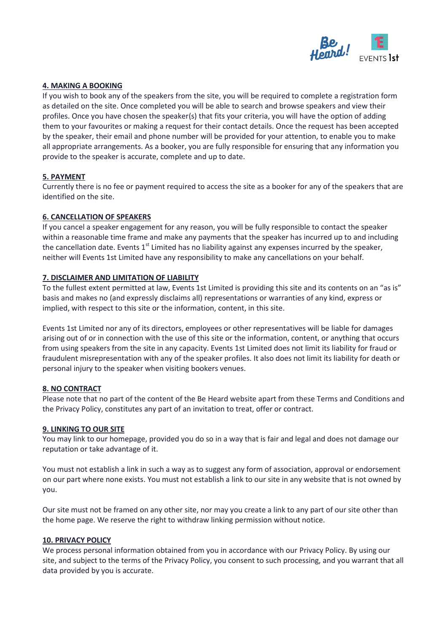

# **4. MAKING A BOOKING**

If you wish to book any of the speakers from the site, you will be required to complete a registration form as detailed on the site. Once completed you will be able to search and browse speakers and view their profiles. Once you have chosen the speaker(s) that fits your criteria, you will have the option of adding them to your favourites or making a request for their contact details. Once the request has been accepted by the speaker, their email and phone number will be provided for your attention, to enable you to make all appropriate arrangements. As a booker, you are fully responsible for ensuring that any information you provide to the speaker is accurate, complete and up to date.

## **5. PAYMENT**

Currently there is no fee or payment required to access the site as a booker for any of the speakers that are identified on the site.

# **6. CANCELLATION OF SPEAKERS**

If you cancel a speaker engagement for any reason, you will be fully responsible to contact the speaker within a reasonable time frame and make any payments that the speaker has incurred up to and including the cancellation date. Events  $1<sup>st</sup>$  Limited has no liability against any expenses incurred by the speaker, neither will Events 1st Limited have any responsibility to make any cancellations on your behalf.

# **7. DISCLAIMER AND LIMITATION OF LIABILITY**

To the fullest extent permitted at law, Events 1st Limited is providing this site and its contents on an "as is" basis and makes no (and expressly disclaims all) representations or warranties of any kind, express or implied, with respect to this site or the information, content, in this site.

Events 1st Limited nor any of its directors, employees or other representatives will be liable for damages arising out of or in connection with the use of this site or the information, content, or anything that occurs from using speakers from the site in any capacity. Events 1st Limited does not limit its liability for fraud or fraudulent misrepresentation with any of the speaker profiles. It also does not limit its liability for death or personal injury to the speaker when visiting bookers venues.

## **8. NO CONTRACT**

Please note that no part of the content of the Be Heard website apart from these Terms and Conditions and the Privacy Policy, constitutes any part of an invitation to treat, offer or contract.

## **9. LINKING TO OUR SITE**

You may link to our homepage, provided you do so in a way that is fair and legal and does not damage our reputation or take advantage of it.

You must not establish a link in such a way as to suggest any form of association, approval or endorsement on our part where none exists. You must not establish a link to our site in any website that is not owned by you.

Our site must not be framed on any other site, nor may you create a link to any part of our site other than the home page. We reserve the right to withdraw linking permission without notice.

## **10. PRIVACY POLICY**

We process personal information obtained from you in accordance with our Privacy Policy. By using our site, and subject to the terms of the Privacy Policy, you consent to such processing, and you warrant that all data provided by you is accurate.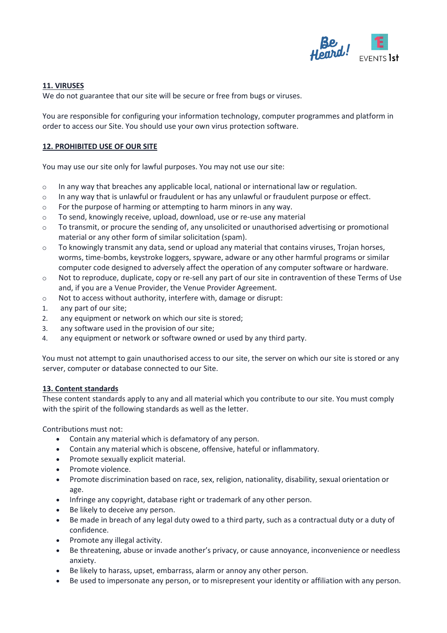

# **11. VIRUSES**

We do not guarantee that our site will be secure or free from bugs or viruses.

You are responsible for configuring your information technology, computer programmes and platform in order to access our Site. You should use your own virus protection software.

# **12. PROHIBITED USE OF OUR SITE**

You may use our site only for lawful purposes. You may not use our site:

- $\circ$  In any way that breaches any applicable local, national or international law or regulation.
- o In any way that is unlawful or fraudulent or has any unlawful or fraudulent purpose or effect.
- o For the purpose of harming or attempting to harm minors in any way.
- o To send, knowingly receive, upload, download, use or re-use any material
- $\circ$  To transmit, or procure the sending of, any unsolicited or unauthorised advertising or promotional material or any other form of similar solicitation (spam).
- $\circ$  To knowingly transmit any data, send or upload any material that contains viruses, Trojan horses, worms, time-bombs, keystroke loggers, spyware, adware or any other harmful programs or similar computer code designed to adversely affect the operation of any computer software or hardware.
- $\circ$  Not to reproduce, duplicate, copy or re-sell any part of our site in contravention of these Terms of Use and, if you are a Venue Provider, the Venue Provider Agreement.
- o Not to access without authority, interfere with, damage or disrupt:
- 1. any part of our site;
- 2. any equipment or network on which our site is stored;
- 3. any software used in the provision of our site;
- 4. any equipment or network or software owned or used by any third party.

You must not attempt to gain unauthorised access to our site, the server on which our site is stored or any server, computer or database connected to our Site.

## **13. Content standards**

These content standards apply to any and all material which you contribute to our site. You must comply with the spirit of the following standards as well as the letter.

Contributions must not:

- Contain any material which is defamatory of any person.
- Contain any material which is obscene, offensive, hateful or inflammatory.
- Promote sexually explicit material.
- Promote violence.
- Promote discrimination based on race, sex, religion, nationality, disability, sexual orientation or age.
- Infringe any copyright, database right or trademark of any other person.
- Be likely to deceive any person.
- Be made in breach of any legal duty owed to a third party, such as a contractual duty or a duty of confidence.
- Promote any illegal activity.
- Be threatening, abuse or invade another's privacy, or cause annoyance, inconvenience or needless anxiety.
- Be likely to harass, upset, embarrass, alarm or annoy any other person.
- Be used to impersonate any person, or to misrepresent your identity or affiliation with any person.